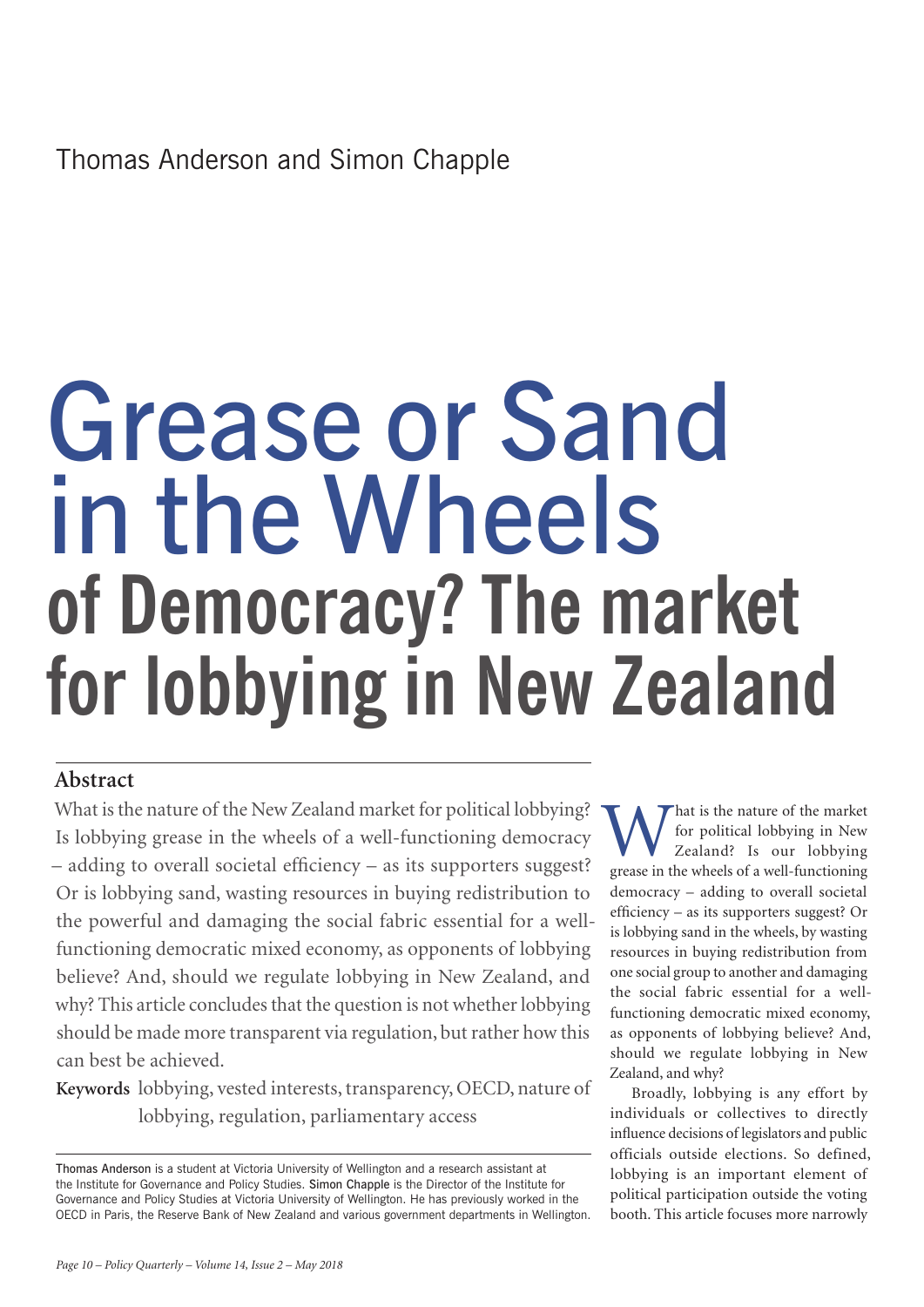Thomas Anderson and Simon Chapple

# Grease or Sand in the Wheels **of Democracy? The market for lobbying in New Zealand**

## **Abstract**

What is the nature of the New Zealand market for political lobbying? Is lobbying grease in the wheels of a well-functioning democracy – adding to overall societal efficiency – as its supporters suggest? Or is lobbying sand, wasting resources in buying redistribution to the powerful and damaging the social fabric essential for a wellfunctioning democratic mixed economy, as opponents of lobbying believe? And, should we regulate lobbying in New Zealand, and why? This article concludes that the question is not whether lobbying should be made more transparent via regulation, but rather how this can best be achieved.

**Keywords** lobbying, vested interests, transparency, OECD, nature of lobbying, regulation, parliamentary access

Thomas Anderson is a student at Victoria University of Wellington and a research assistant at the Institute for Governance and Policy Studies. Simon Chapple is the Director of the Institute for Governance and Policy Studies at Victoria University of Wellington. He has previously worked in the OECD in Paris, the Reserve Bank of New Zealand and various government departments in Wellington.

W hat is the nature of the market<br>for political lobbying in New<br>Zealand? Is our lobbying<br>grease in the wheels of a well-functioning for political lobbying in New Zealand? Is our lobbying grease in the wheels of a well-functioning democracy – adding to overall societal efficiency – as its supporters suggest? Or is lobbying sand in the wheels, by wasting resources in buying redistribution from one social group to another and damaging the social fabric essential for a wellfunctioning democratic mixed economy, as opponents of lobbying believe? And, should we regulate lobbying in New Zealand, and why?

Broadly, lobbying is any effort by individuals or collectives to directly influence decisions of legislators and public officials outside elections. So defined, lobbying is an important element of political participation outside the voting booth. This article focuses more narrowly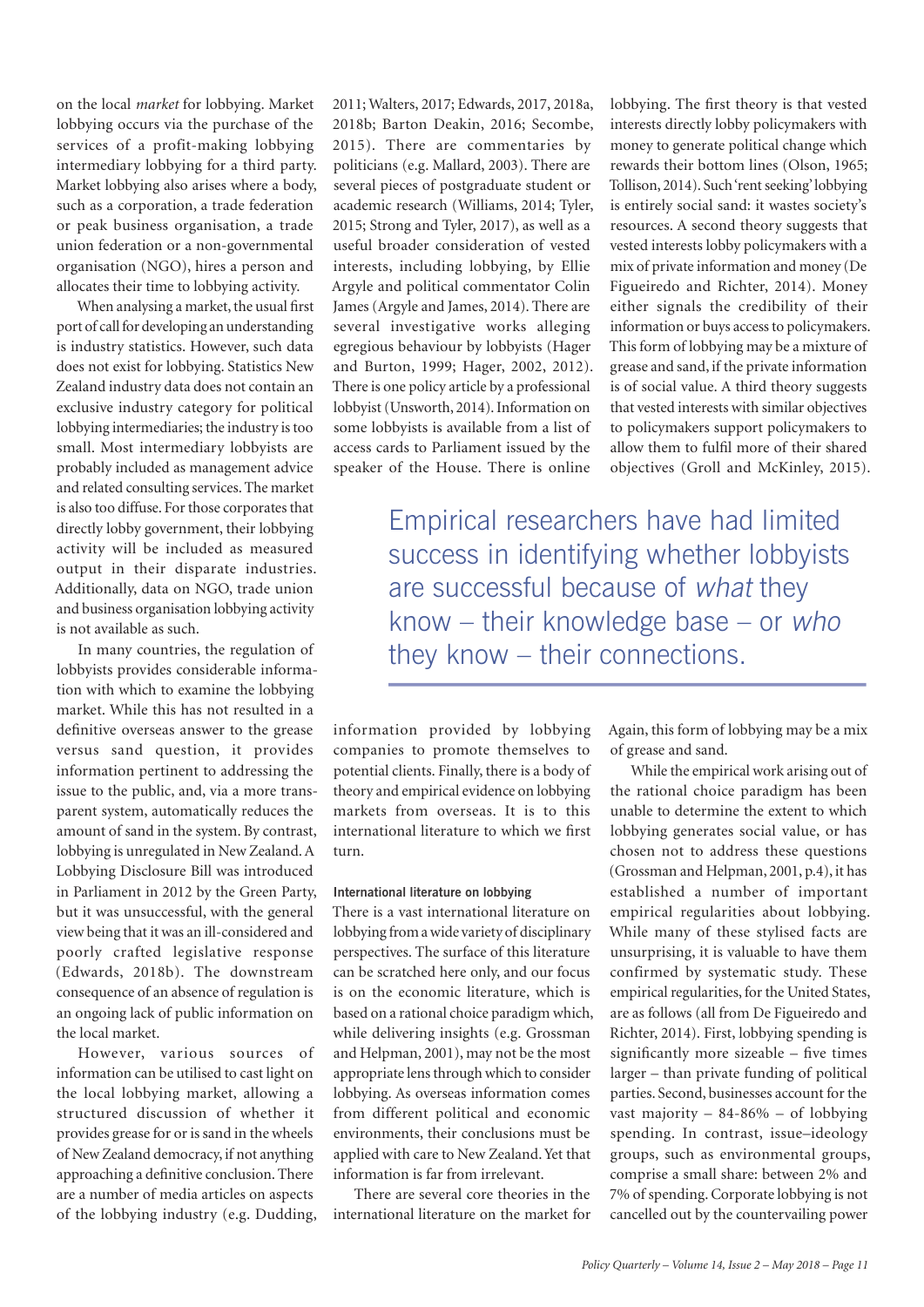on the local *market* for lobbying. Market lobbying occurs via the purchase of the services of a profit-making lobbying intermediary lobbying for a third party. Market lobbying also arises where a body, such as a corporation, a trade federation or peak business organisation, a trade union federation or a non-governmental organisation (NGO), hires a person and allocates their time to lobbying activity.

When analysing a market, the usual first port of call for developing an understanding is industry statistics. However, such data does not exist for lobbying. Statistics New Zealand industry data does not contain an exclusive industry category for political lobbying intermediaries; the industry is too small. Most intermediary lobbyists are probably included as management advice and related consulting services. The market is also too diffuse. For those corporates that directly lobby government, their lobbying activity will be included as measured output in their disparate industries. Additionally, data on NGO, trade union and business organisation lobbying activity is not available as such.

In many countries, the regulation of lobbyists provides considerable information with which to examine the lobbying market. While this has not resulted in a definitive overseas answer to the grease versus sand question, it provides information pertinent to addressing the issue to the public, and, via a more transparent system, automatically reduces the amount of sand in the system. By contrast, lobbying is unregulated in New Zealand. A Lobbying Disclosure Bill was introduced in Parliament in 2012 by the Green Party, but it was unsuccessful, with the general view being that it was an ill-considered and poorly crafted legislative response (Edwards, 2018b). The downstream consequence of an absence of regulation is an ongoing lack of public information on the local market.

However, various sources of information can be utilised to cast light on the local lobbying market, allowing a structured discussion of whether it provides grease for or is sand in the wheels of New Zealand democracy, if not anything approaching a definitive conclusion. There are a number of media articles on aspects of the lobbying industry (e.g. Dudding, 2011; Walters, 2017; Edwards, 2017, 2018a, 2018b; Barton Deakin, 2016; Secombe, 2015). There are commentaries by politicians (e.g. Mallard, 2003). There are several pieces of postgraduate student or academic research (Williams, 2014; Tyler, 2015; Strong and Tyler, 2017), as well as a useful broader consideration of vested interests, including lobbying, by Ellie Argyle and political commentator Colin James (Argyle and James, 2014). There are several investigative works alleging egregious behaviour by lobbyists (Hager and Burton, 1999; Hager, 2002, 2012). There is one policy article by a professional lobbyist (Unsworth, 2014). Information on some lobbyists is available from a list of access cards to Parliament issued by the speaker of the House. There is online

lobbying. The first theory is that vested interests directly lobby policymakers with money to generate political change which rewards their bottom lines (Olson, 1965; Tollison, 2014). Such 'rent seeking' lobbying is entirely social sand: it wastes society's resources. A second theory suggests that vested interests lobby policymakers with a mix of private information and money (De Figueiredo and Richter, 2014). Money either signals the credibility of their information or buys access to policymakers. This form of lobbying may be a mixture of grease and sand, if the private information is of social value. A third theory suggests that vested interests with similar objectives to policymakers support policymakers to allow them to fulfil more of their shared objectives (Groll and McKinley, 2015).

Empirical researchers have had limited success in identifying whether lobbyists are successful because of what they know – their knowledge base – or who they know – their connections.

information provided by lobbying companies to promote themselves to potential clients. Finally, there is a body of theory and empirical evidence on lobbying markets from overseas. It is to this international literature to which we first turn.

#### **International literature on lobbying**

There is a vast international literature on lobbying from a wide variety of disciplinary perspectives. The surface of this literature can be scratched here only, and our focus is on the economic literature, which is based on a rational choice paradigm which, while delivering insights (e.g. Grossman and Helpman, 2001), may not be the most appropriate lens through which to consider lobbying. As overseas information comes from different political and economic environments, their conclusions must be applied with care to New Zealand. Yet that information is far from irrelevant.

There are several core theories in the international literature on the market for Again, this form of lobbying may be a mix of grease and sand.

While the empirical work arising out of the rational choice paradigm has been unable to determine the extent to which lobbying generates social value, or has chosen not to address these questions (Grossman and Helpman, 2001, p.4), it has established a number of important empirical regularities about lobbying. While many of these stylised facts are unsurprising, it is valuable to have them confirmed by systematic study. These empirical regularities, for the United States, are as follows (all from De Figueiredo and Richter, 2014). First, lobbying spending is significantly more sizeable – five times larger – than private funding of political parties. Second, businesses account for the vast majority – 84-86% – of lobbying spending. In contrast, issue–ideology groups, such as environmental groups, comprise a small share: between 2% and 7% of spending. Corporate lobbying is not cancelled out by the countervailing power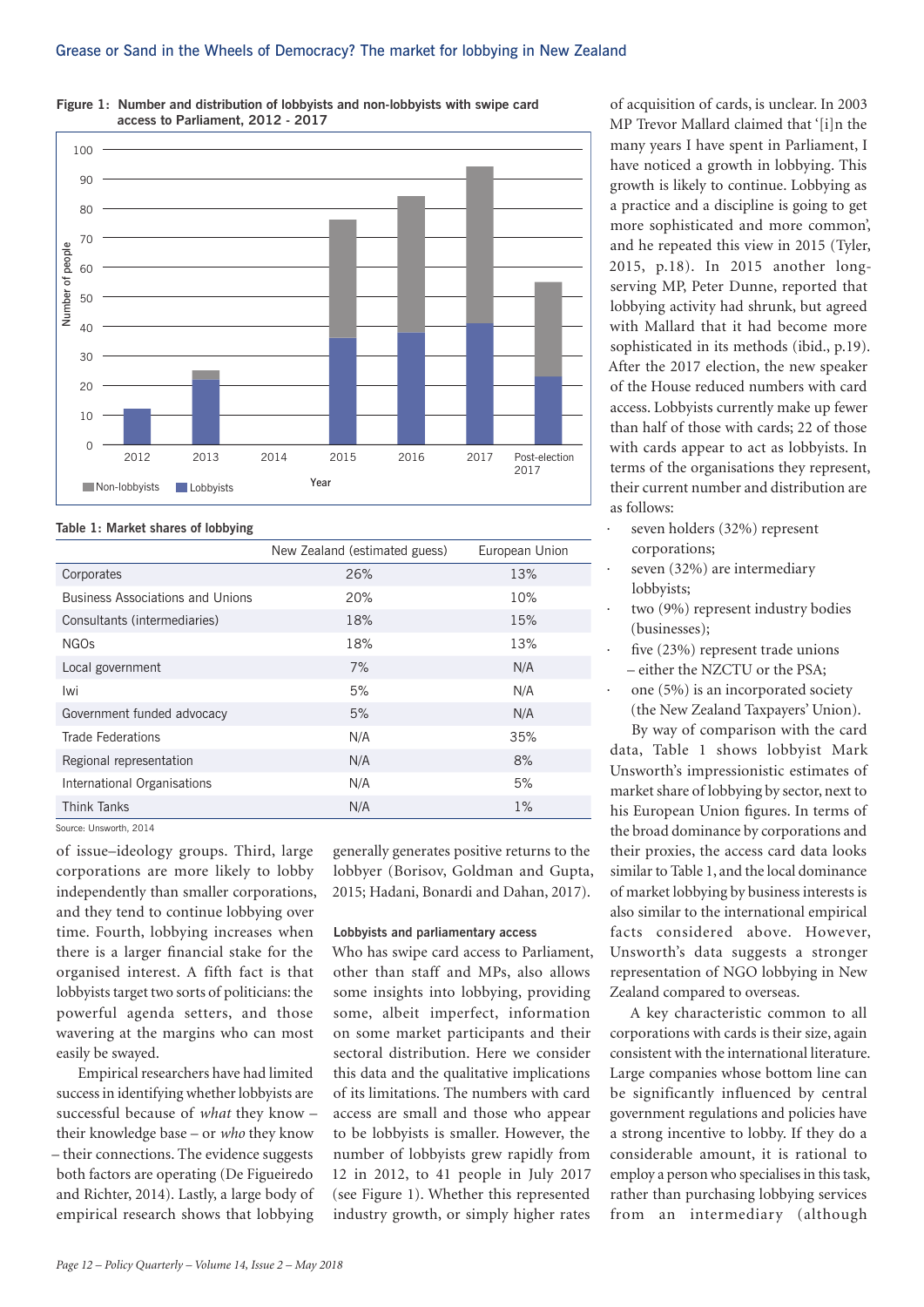

**Figure 1: Number and distribution of lobbyists and non-lobbyists with swipe card access to Parliament, 2012 - 2017** 

**Table 1: Market shares of lobbying**

|                                         | New Zealand (estimated guess) | European Union |
|-----------------------------------------|-------------------------------|----------------|
| Corporates                              | 26%                           | 13%            |
| <b>Business Associations and Unions</b> | 20%                           | 10%            |
| Consultants (intermediaries)            | 18%                           | 15%            |
| NGOs                                    | 18%                           | 13%            |
| Local government                        | 7%                            | N/A            |
| Iwi                                     | 5%                            | N/A            |
| Government funded advocacy              | 5%                            | N/A            |
| <b>Trade Federations</b>                | N/A                           | 35%            |
| Regional representation                 | N/A                           | 8%             |
| International Organisations             | N/A                           | 5%             |
| <b>Think Tanks</b>                      | N/A                           | $1\%$          |

Source: Unsworth, 2014

of issue–ideology groups. Third, large corporations are more likely to lobby independently than smaller corporations, and they tend to continue lobbying over time. Fourth, lobbying increases when there is a larger financial stake for the organised interest. A fifth fact is that lobbyists target two sorts of politicians: the powerful agenda setters, and those wavering at the margins who can most easily be swayed.

Empirical researchers have had limited success in identifying whether lobbyists are successful because of *what* they know – their knowledge base – or *who* they know – their connections. The evidence suggests both factors are operating (De Figueiredo and Richter, 2014). Lastly, a large body of empirical research shows that lobbying

generally generates positive returns to the lobbyer (Borisov, Goldman and Gupta, 2015; Hadani, Bonardi and Dahan, 2017).

#### **Lobbyists and parliamentary access**

Who has swipe card access to Parliament, other than staff and MPs, also allows some insights into lobbying, providing some, albeit imperfect, information on some market participants and their sectoral distribution. Here we consider this data and the qualitative implications of its limitations. The numbers with card access are small and those who appear to be lobbyists is smaller. However, the number of lobbyists grew rapidly from 12 in 2012, to 41 people in July 2017 (see Figure 1). Whether this represented industry growth, or simply higher rates

of acquisition of cards, is unclear. In 2003 MP Trevor Mallard claimed that '[i]n the many years I have spent in Parliament, I have noticed a growth in lobbying. This growth is likely to continue. Lobbying as a practice and a discipline is going to get more sophisticated and more common', and he repeated this view in 2015 (Tyler, 2015, p.18). In 2015 another longserving MP, Peter Dunne, reported that lobbying activity had shrunk, but agreed with Mallard that it had become more sophisticated in its methods (ibid., p.19). After the 2017 election, the new speaker of the House reduced numbers with card access. Lobbyists currently make up fewer than half of those with cards; 22 of those with cards appear to act as lobbyists. In terms of the organisations they represent, their current number and distribution are as follows:

- seven holders (32%) represent corporations;
- seven (32%) are intermediary lobbyists;
- two (9%) represent industry bodies (businesses);
- five (23%) represent trade unions – either the NZCTU or the PSA;
- one (5%) is an incorporated society (the New Zealand Taxpayers' Union).

By way of comparison with the card data, Table 1 shows lobbyist Mark Unsworth's impressionistic estimates of market share of lobbying by sector, next to his European Union figures. In terms of the broad dominance by corporations and their proxies, the access card data looks similar to Table 1, and the local dominance of market lobbying by business interests is also similar to the international empirical facts considered above. However, Unsworth's data suggests a stronger representation of NGO lobbying in New Zealand compared to overseas.

A key characteristic common to all corporations with cards is their size, again consistent with the international literature. Large companies whose bottom line can be significantly influenced by central government regulations and policies have a strong incentive to lobby. If they do a considerable amount, it is rational to employ a person who specialises in this task, rather than purchasing lobbying services from an intermediary (although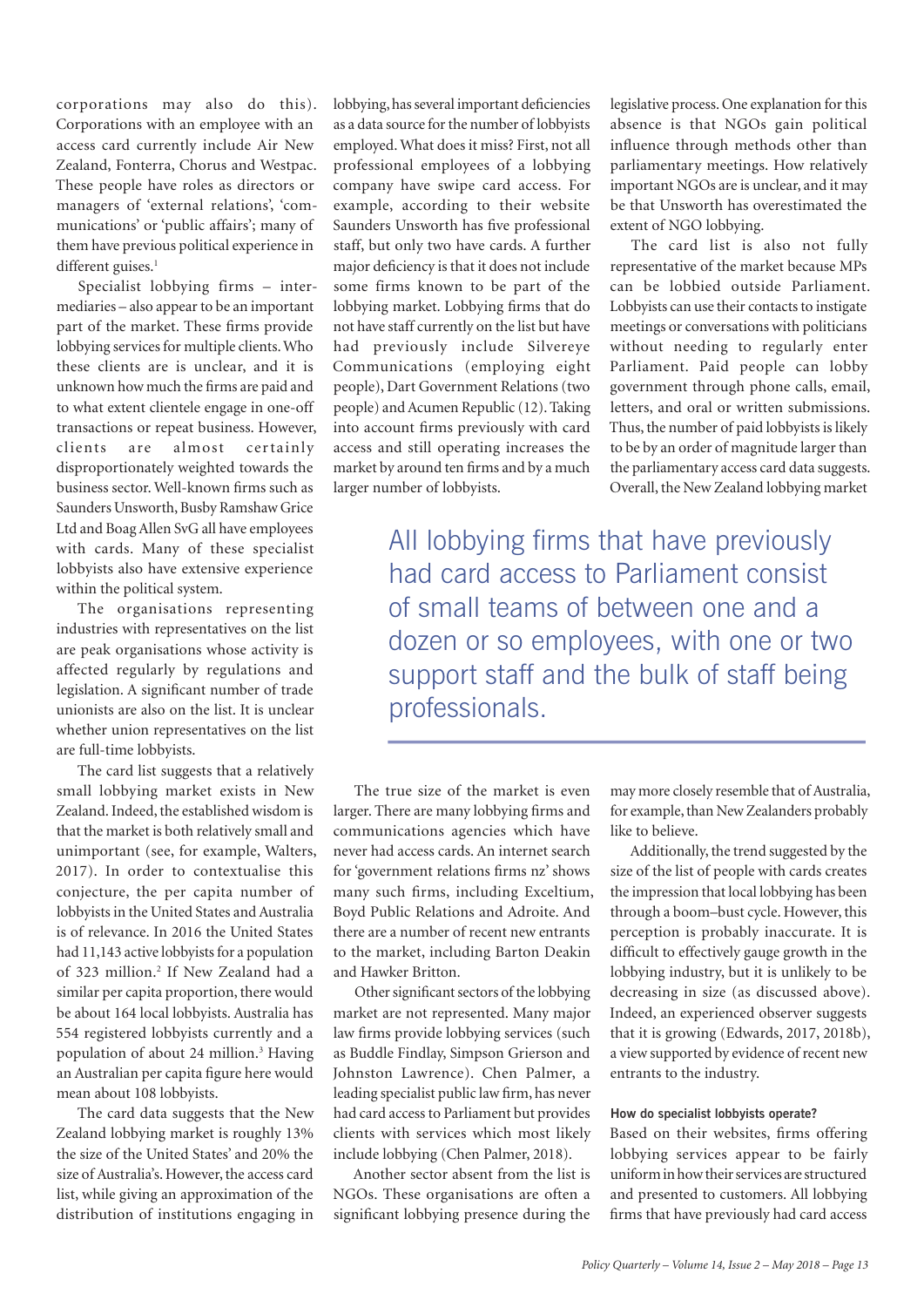corporations may also do this). Corporations with an employee with an access card currently include Air New Zealand, Fonterra, Chorus and Westpac. These people have roles as directors or managers of 'external relations', 'communications' or 'public affairs'; many of them have previous political experience in different guises.<sup>1</sup>

Specialist lobbying firms – intermediaries – also appear to be an important part of the market. These firms provide lobbying services for multiple clients. Who these clients are is unclear, and it is unknown how much the firms are paid and to what extent clientele engage in one-off transactions or repeat business. However, clients are almost certainly disproportionately weighted towards the business sector. Well-known firms such as Saunders Unsworth, Busby Ramshaw Grice Ltd and Boag Allen SvG all have employees with cards. Many of these specialist lobbyists also have extensive experience within the political system.

The organisations representing industries with representatives on the list are peak organisations whose activity is affected regularly by regulations and legislation. A significant number of trade unionists are also on the list. It is unclear whether union representatives on the list are full-time lobbyists.

The card list suggests that a relatively small lobbying market exists in New Zealand. Indeed, the established wisdom is that the market is both relatively small and unimportant (see, for example, Walters, 2017). In order to contextualise this conjecture, the per capita number of lobbyists in the United States and Australia is of relevance. In 2016 the United States had 11,143 active lobbyists for a population of 323 million.<sup>2</sup> If New Zealand had a similar per capita proportion, there would be about 164 local lobbyists. Australia has 554 registered lobbyists currently and a population of about 24 million.<sup>3</sup> Having an Australian per capita figure here would mean about 108 lobbyists.

The card data suggests that the New Zealand lobbying market is roughly 13% the size of the United States' and 20% the size of Australia's. However, the access card list, while giving an approximation of the distribution of institutions engaging in

lobbying, has several important deficiencies as a data source for the number of lobbyists employed. What does it miss? First, not all professional employees of a lobbying company have swipe card access. For example, according to their website Saunders Unsworth has five professional staff, but only two have cards. A further major deficiency is that it does not include some firms known to be part of the lobbying market. Lobbying firms that do not have staff currently on the list but have had previously include Silvereye Communications (employing eight people), Dart Government Relations (two people) and Acumen Republic (12). Taking into account firms previously with card access and still operating increases the market by around ten firms and by a much larger number of lobbyists.

legislative process. One explanation for this absence is that NGOs gain political influence through methods other than parliamentary meetings. How relatively important NGOs are is unclear, and it may be that Unsworth has overestimated the extent of NGO lobbying.

The card list is also not fully representative of the market because MPs can be lobbied outside Parliament. Lobbyists can use their contacts to instigate meetings or conversations with politicians without needing to regularly enter Parliament. Paid people can lobby government through phone calls, email, letters, and oral or written submissions. Thus, the number of paid lobbyists is likely to be by an order of magnitude larger than the parliamentary access card data suggests. Overall, the New Zealand lobbying market

All lobbying firms that have previously had card access to Parliament consist of small teams of between one and a dozen or so employees, with one or two support staff and the bulk of staff being professionals.

The true size of the market is even larger. There are many lobbying firms and communications agencies which have never had access cards. An internet search for 'government relations firms nz' shows many such firms, including Exceltium, Boyd Public Relations and Adroite. And there are a number of recent new entrants to the market, including Barton Deakin and Hawker Britton.

Other significant sectors of the lobbying market are not represented. Many major law firms provide lobbying services (such as Buddle Findlay, Simpson Grierson and Johnston Lawrence). Chen Palmer, a leading specialist public law firm, has never had card access to Parliament but provides clients with services which most likely include lobbying (Chen Palmer, 2018).

Another sector absent from the list is NGOs. These organisations are often a significant lobbying presence during the may more closely resemble that of Australia, for example, than New Zealanders probably like to believe.

Additionally, the trend suggested by the size of the list of people with cards creates the impression that local lobbying has been through a boom–bust cycle. However, this perception is probably inaccurate. It is difficult to effectively gauge growth in the lobbying industry, but it is unlikely to be decreasing in size (as discussed above). Indeed, an experienced observer suggests that it is growing (Edwards, 2017, 2018b), a view supported by evidence of recent new entrants to the industry.

#### **How do specialist lobbyists operate?**

Based on their websites, firms offering lobbying services appear to be fairly uniform in how their services are structured and presented to customers. All lobbying firms that have previously had card access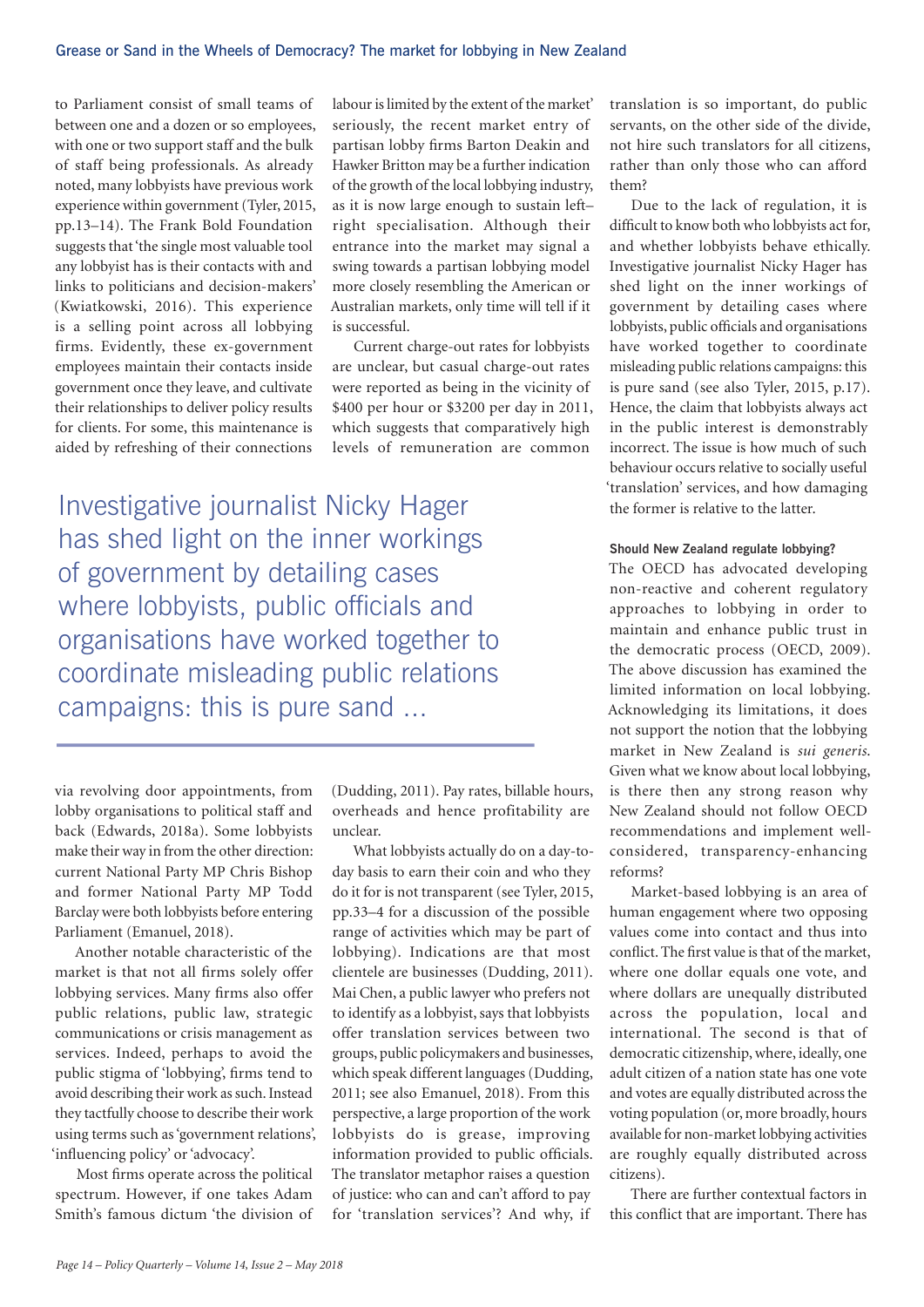to Parliament consist of small teams of between one and a dozen or so employees, with one or two support staff and the bulk of staff being professionals. As already noted, many lobbyists have previous work experience within government (Tyler, 2015, pp.13–14). The Frank Bold Foundation suggests that 'the single most valuable tool any lobbyist has is their contacts with and links to politicians and decision-makers' (Kwiatkowski, 2016). This experience is a selling point across all lobbying firms. Evidently, these ex-government employees maintain their contacts inside government once they leave, and cultivate their relationships to deliver policy results for clients. For some, this maintenance is aided by refreshing of their connections

labour is limited by the extent of the market' seriously, the recent market entry of partisan lobby firms Barton Deakin and Hawker Britton may be a further indication of the growth of the local lobbying industry, as it is now large enough to sustain left– right specialisation. Although their entrance into the market may signal a swing towards a partisan lobbying model more closely resembling the American or Australian markets, only time will tell if it is successful.

Current charge-out rates for lobbyists are unclear, but casual charge-out rates were reported as being in the vicinity of \$400 per hour or \$3200 per day in 2011, which suggests that comparatively high levels of remuneration are common

Investigative journalist Nicky Hager has shed light on the inner workings of government by detailing cases where lobbyists, public officials and organisations have worked together to coordinate misleading public relations campaigns: this is pure sand ...

via revolving door appointments, from lobby organisations to political staff and back (Edwards, 2018a). Some lobbyists make their way in from the other direction: current National Party MP Chris Bishop and former National Party MP Todd Barclay were both lobbyists before entering Parliament (Emanuel, 2018).

Another notable characteristic of the market is that not all firms solely offer lobbying services. Many firms also offer public relations, public law, strategic communications or crisis management as services. Indeed, perhaps to avoid the public stigma of 'lobbying', firms tend to avoid describing their work as such. Instead they tactfully choose to describe their work using terms such as 'government relations', 'influencing policy' or 'advocacy'.

Most firms operate across the political spectrum. However, if one takes Adam Smith's famous dictum 'the division of (Dudding, 2011). Pay rates, billable hours, overheads and hence profitability are unclear.

What lobbyists actually do on a day-today basis to earn their coin and who they do it for is not transparent (see Tyler, 2015, pp.33–4 for a discussion of the possible range of activities which may be part of lobbying). Indications are that most clientele are businesses (Dudding, 2011). Mai Chen, a public lawyer who prefers not to identify as a lobbyist, says that lobbyists offer translation services between two groups, public policymakers and businesses, which speak different languages (Dudding, 2011; see also Emanuel, 2018). From this perspective, a large proportion of the work lobbyists do is grease, improving information provided to public officials. The translator metaphor raises a question of justice: who can and can't afford to pay for 'translation services'? And why, if

translation is so important, do public servants, on the other side of the divide, not hire such translators for all citizens, rather than only those who can afford them?

Due to the lack of regulation, it is difficult to know both who lobbyists act for, and whether lobbyists behave ethically. Investigative journalist Nicky Hager has shed light on the inner workings of government by detailing cases where lobbyists, public officials and organisations have worked together to coordinate misleading public relations campaigns: this is pure sand (see also Tyler, 2015, p.17). Hence, the claim that lobbyists always act in the public interest is demonstrably incorrect. The issue is how much of such behaviour occurs relative to socially useful 'translation' services, and how damaging the former is relative to the latter.

#### **Should New Zealand regulate lobbying?**

The OECD has advocated developing non-reactive and coherent regulatory approaches to lobbying in order to maintain and enhance public trust in the democratic process (OECD, 2009). The above discussion has examined the limited information on local lobbying. Acknowledging its limitations, it does not support the notion that the lobbying market in New Zealand is *sui generis*. Given what we know about local lobbying, is there then any strong reason why New Zealand should not follow OECD recommendations and implement wellconsidered, transparency-enhancing reforms?

Market-based lobbying is an area of human engagement where two opposing values come into contact and thus into conflict. The first value is that of the market, where one dollar equals one vote, and where dollars are unequally distributed across the population, local and international. The second is that of democratic citizenship, where, ideally, one adult citizen of a nation state has one vote and votes are equally distributed across the voting population (or, more broadly, hours available for non-market lobbying activities are roughly equally distributed across citizens).

There are further contextual factors in this conflict that are important. There has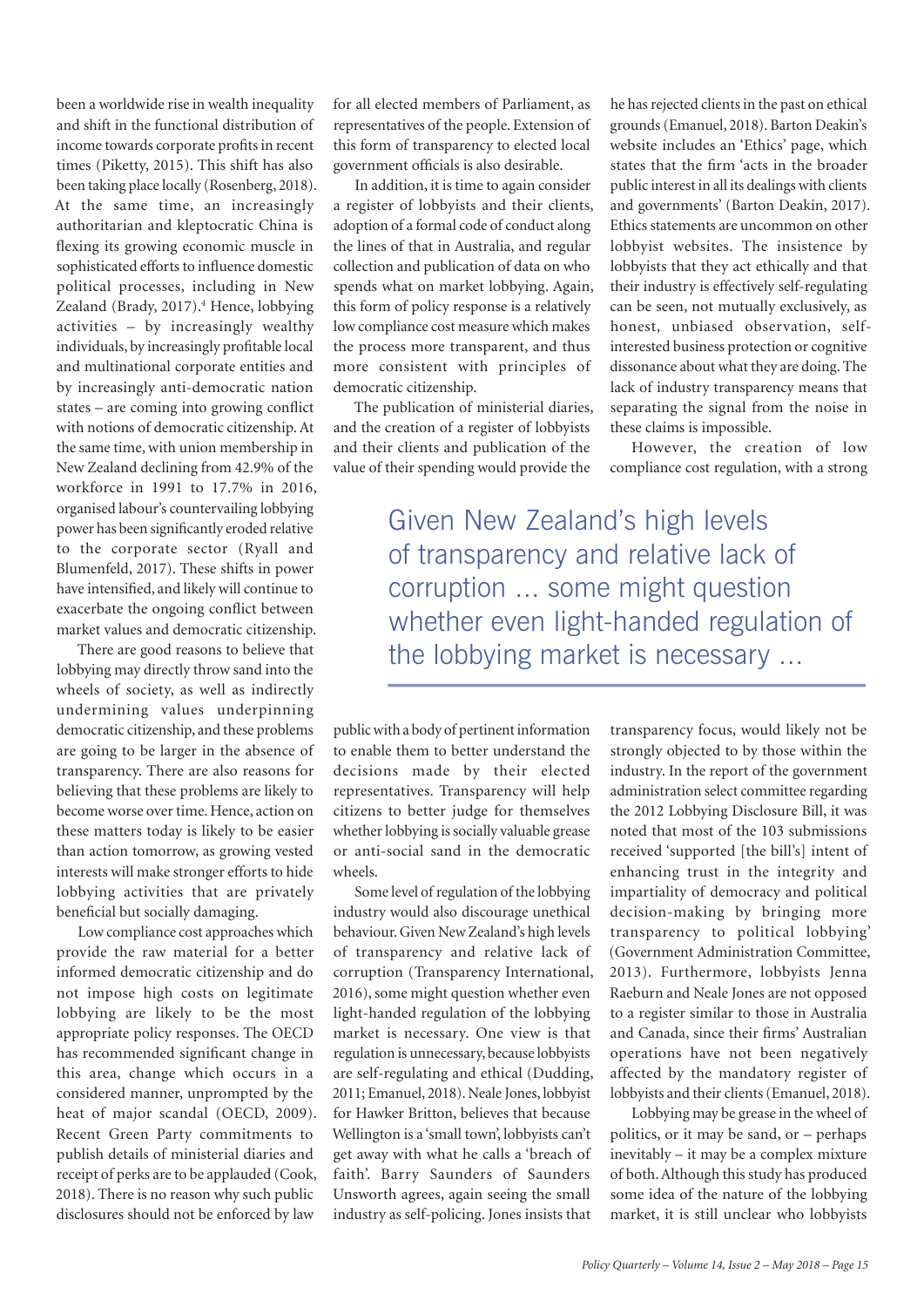been a worldwide rise in wealth inequality and shift in the functional distribution of income towards corporate profits in recent times (Piketty, 2015). This shift has also been taking place locally (Rosenberg, 2018). At the same time, an increasingly authoritarian and kleptocratic China is flexing its growing economic muscle in sophisticated efforts to influence domestic political processes, including in New Zealand (Brady, 2017).<sup>4</sup> Hence, lobbying activities – by increasingly wealthy individuals, by increasingly profitable local and multinational corporate entities and by increasingly anti-democratic nation states – are coming into growing conflict with notions of democratic citizenship. At the same time, with union membership in New Zealand declining from 42.9% of the workforce in 1991 to 17.7% in 2016, organised labour's countervailing lobbying power has been significantly eroded relative to the corporate sector (Ryall and Blumenfeld, 2017). These shifts in power have intensified, and likely will continue to exacerbate the ongoing conflict between market values and democratic citizenship.

There are good reasons to believe that lobbying may directly throw sand into the wheels of society, as well as indirectly undermining values underpinning democratic citizenship, and these problems are going to be larger in the absence of transparency. There are also reasons for believing that these problems are likely to become worse over time. Hence, action on these matters today is likely to be easier than action tomorrow, as growing vested interests will make stronger efforts to hide lobbying activities that are privately beneficial but socially damaging.

Low compliance cost approaches which provide the raw material for a better informed democratic citizenship and do not impose high costs on legitimate lobbying are likely to be the most appropriate policy responses. The OECD has recommended significant change in this area, change which occurs in a considered manner, unprompted by the heat of major scandal (OECD, 2009). Recent Green Party commitments to publish details of ministerial diaries and receipt of perks are to be applauded (Cook, 2018). There is no reason why such public disclosures should not be enforced by law

for all elected members of Parliament, as representatives of the people. Extension of this form of transparency to elected local government officials is also desirable.

In addition, it is time to again consider a register of lobbyists and their clients, adoption of a formal code of conduct along the lines of that in Australia, and regular collection and publication of data on who spends what on market lobbying. Again, this form of policy response is a relatively low compliance cost measure which makes the process more transparent, and thus more consistent with principles of democratic citizenship.

The publication of ministerial diaries, and the creation of a register of lobbyists and their clients and publication of the value of their spending would provide the

he has rejected clients in the past on ethical grounds (Emanuel, 2018). Barton Deakin's website includes an 'Ethics' page, which states that the firm 'acts in the broader public interest in all its dealings with clients and governments' (Barton Deakin, 2017). Ethics statements are uncommon on other lobbyist websites. The insistence by lobbyists that they act ethically and that their industry is effectively self-regulating can be seen, not mutually exclusively, as honest, unbiased observation, selfinterested business protection or cognitive dissonance about what they are doing. The lack of industry transparency means that separating the signal from the noise in these claims is impossible.

However, the creation of low compliance cost regulation, with a strong

Given New Zealand's high levels of transparency and relative lack of corruption ... some might question whether even light-handed regulation of the lobbying market is necessary ...

public with a body of pertinent information to enable them to better understand the decisions made by their elected representatives. Transparency will help citizens to better judge for themselves whether lobbying is socially valuable grease or anti-social sand in the democratic wheels.

Some level of regulation of the lobbying industry would also discourage unethical behaviour. Given New Zealand's high levels of transparency and relative lack of corruption (Transparency International, 2016), some might question whether even light-handed regulation of the lobbying market is necessary. One view is that regulation is unnecessary, because lobbyists are self-regulating and ethical (Dudding, 2011; Emanuel, 2018). Neale Jones, lobbyist for Hawker Britton, believes that because Wellington is a 'small town', lobbyists can't get away with what he calls a 'breach of faith'. Barry Saunders of Saunders Unsworth agrees, again seeing the small industry as self-policing. Jones insists that

transparency focus, would likely not be strongly objected to by those within the industry. In the report of the government administration select committee regarding the 2012 Lobbying Disclosure Bill, it was noted that most of the 103 submissions received 'supported [the bill's] intent of enhancing trust in the integrity and impartiality of democracy and political decision-making by bringing more transparency to political lobbying' (Government Administration Committee, 2013). Furthermore, lobbyists Jenna Raeburn and Neale Jones are not opposed to a register similar to those in Australia and Canada, since their firms' Australian operations have not been negatively affected by the mandatory register of lobbyists and their clients (Emanuel, 2018).

Lobbying may be grease in the wheel of politics, or it may be sand, or – perhaps inevitably – it may be a complex mixture of both. Although this study has produced some idea of the nature of the lobbying market, it is still unclear who lobbyists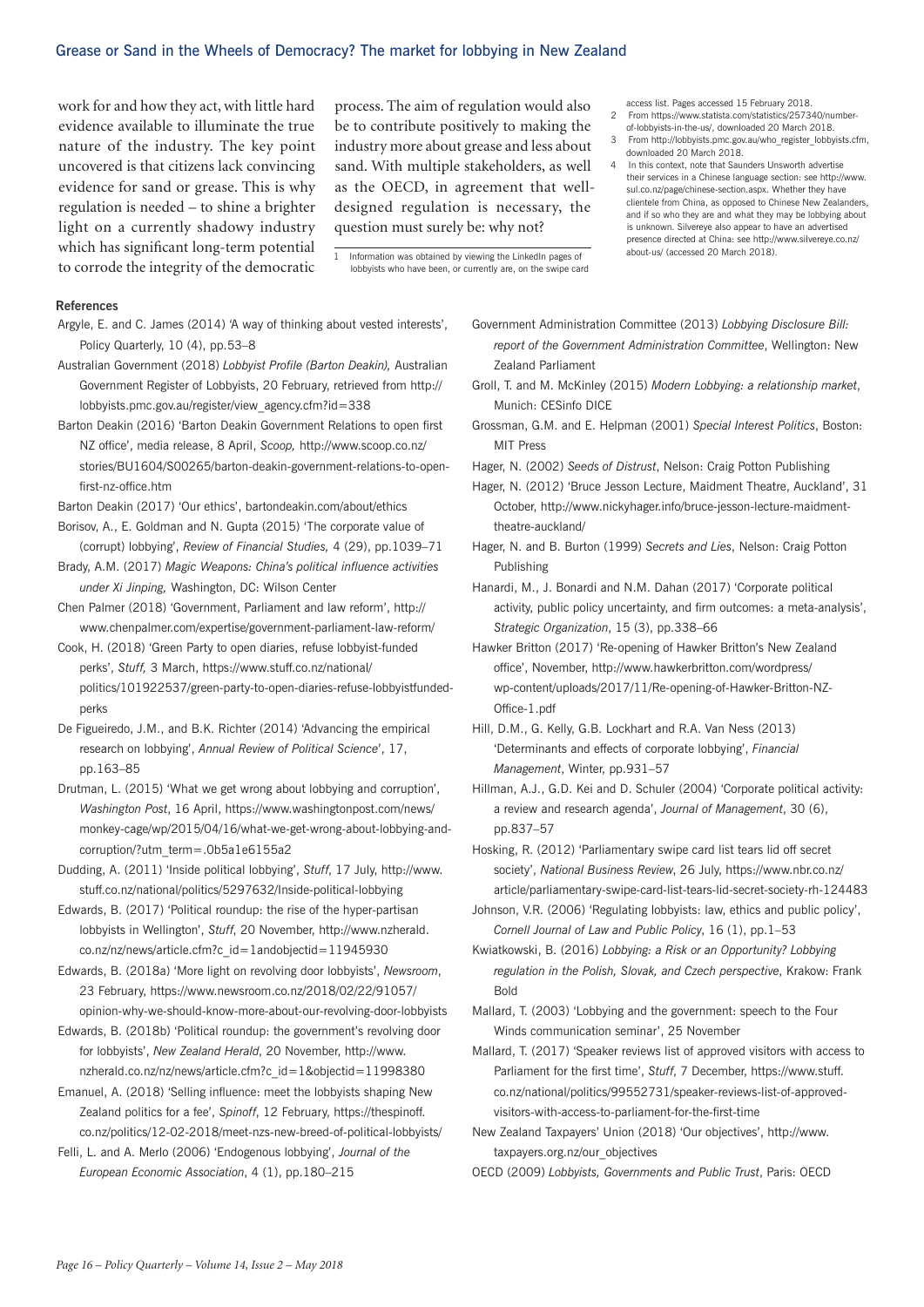#### Grease or Sand in the Wheels of Democracy? The market for lobbying in New Zealand

work for and how they act, with little hard evidence available to illuminate the true nature of the industry. The key point uncovered is that citizens lack convincing evidence for sand or grease. This is why regulation is needed – to shine a brighter light on a currently shadowy industry which has significant long-term potential to corrode the integrity of the democratic

process. The aim of regulation would also be to contribute positively to making the industry more about grease and less about sand. With multiple stakeholders, as well as the OECD, in agreement that welldesigned regulation is necessary, the question must surely be: why not?

1 Information was obtained by viewing the LinkedIn pages of lobbyists who have been, or currently are, on the swipe card access list. Pages accessed 15 February 2018.

- 2 From https://www.statista.com/statistics/257340/numberof-lobbyists-in-the-us/, downloaded 20 March 2018.
- 3 From http://lobbyists.pmc.gov.au/who\_register\_lobbyists.cfm, downloaded 20 March 2018.
- 4 In this context, note that Saunders Unsworth advertise their services in a Chinese language section: see http://www. sul.co.nz/page/chinese-section.aspx. Whether they have clientele from China, as opposed to Chinese New Zealanders, and if so who they are and what they may be lobbying about is unknown. Silvereye also appear to have an advertised presence directed at China: see http://www.silvereye.co.nz/ about-us/ (accessed 20 March 2018).

#### **References**

- Argyle, E. and C. James (2014) 'A way of thinking about vested interests', Policy Quarterly, 10 (4), pp.53–8
- Australian Government (2018) *Lobbyist Profile (Barton Deakin),* Australian Government Register of Lobbyists, 20 February, retrieved from http:// lobbyists.pmc.gov.au/register/view\_agency.cfm?id=338
- Barton Deakin (2016) 'Barton Deakin Government Relations to open first NZ office', media release, 8 April, *Scoop,* http://www.scoop.co.nz/ stories/BU1604/S00265/barton-deakin-government-relations-to-openfirst-nz-office.htm

Barton Deakin (2017) 'Our ethics', bartondeakin.com/about/ethics

- Borisov, A., E. Goldman and N. Gupta (2015) 'The corporate value of (corrupt) lobbying', *Review of Financial Studies,* 4 (29), pp.1039–71
- Brady, A.M. (2017) *Magic Weapons: China's political influence activities under Xi Jinping,* Washington, DC: Wilson Center
- Chen Palmer (2018) 'Government, Parliament and law reform', http:// www.chenpalmer.com/expertise/government-parliament-law-reform/
- Cook, H. (2018) 'Green Party to open diaries, refuse lobbyist-funded perks', *Stuff,* 3 March, https://www.stuff.co.nz/national/ politics/101922537/green-party-to-open-diaries-refuse-lobbyistfundedperks
- De Figueiredo, J.M., and B.K. Richter (2014) 'Advancing the empirical research on lobbying', *Annual Review of Political Science*', 17, pp.163–85
- Drutman, L. (2015) 'What we get wrong about lobbying and corruption', *Washington Post*, 16 April, https://www.washingtonpost.com/news/ monkey-cage/wp/2015/04/16/what-we-get-wrong-about-lobbying-andcorruption/?utm\_term=.0b5a1e6155a2
- Dudding, A. (2011) 'Inside political lobbying', *Stuff*, 17 July, http://www. stuff.co.nz/national/politics/5297632/Inside-political-lobbying
- Edwards, B. (2017) 'Political roundup: the rise of the hyper-partisan lobbyists in Wellington', *Stuff*, 20 November, http://www.nzherald. co.nz/nz/news/article.cfm?c\_id=1andobjectid=11945930

Edwards, B. (2018a) 'More light on revolving door lobbyists', *Newsroom*, 23 February, https://www.newsroom.co.nz/2018/02/22/91057/ opinion-why-we-should-know-more-about-our-revolving-door-lobbyists

Edwards, B. (2018b) 'Political roundup: the government's revolving door for lobbyists', *New Zealand Herald*, 20 November, http://www. nzherald.co.nz/nz/news/article.cfm?c\_id=1&objectid=11998380

Emanuel, A. (2018) 'Selling influence: meet the lobbyists shaping New Zealand politics for a fee', *Spinoff*, 12 February, https://thespinoff. co.nz/politics/12-02-2018/meet-nzs-new-breed-of-political-lobbyists/

Felli, L. and A. Merlo (2006) 'Endogenous lobbying', *Journal of the European Economic Association*, 4 (1), pp.180–215

- Government Administration Committee (2013) *Lobbying Disclosure Bill: report of the Government Administration Committee*, Wellington: New Zealand Parliament
- Groll, T. and M. McKinley (2015) *Modern Lobbying: a relationship market*, Munich: CESinfo DICE
- Grossman, G.M. and E. Helpman (2001) *Special Interest Politics*, Boston: MIT Press
- Hager, N. (2002) *Seeds of Distrust*, Nelson: Craig Potton Publishing
- Hager, N. (2012) 'Bruce Jesson Lecture, Maidment Theatre, Auckland', 31 October, http://www.nickyhager.info/bruce-jesson-lecture-maidmenttheatre-auckland/
- Hager, N. and B. Burton (1999) *Secrets and Lies*, Nelson: Craig Potton Publishing
- Hanardi, M., J. Bonardi and N.M. Dahan (2017) 'Corporate political activity, public policy uncertainty, and firm outcomes: a meta-analysis', *Strategic Organization*, 15 (3), pp.338–66
- Hawker Britton (2017) 'Re-opening of Hawker Britton's New Zealand office', November, http://www.hawkerbritton.com/wordpress/ wp-content/uploads/2017/11/Re-opening-of-Hawker-Britton-NZ-Office-1.pdf
- Hill, D.M., G. Kelly, G.B. Lockhart and R.A. Van Ness (2013) 'Determinants and effects of corporate lobbying', *Financial Management*, Winter, pp.931–57
- Hillman, A.J., G.D. Kei and D. Schuler (2004) 'Corporate political activity: a review and research agenda', *Journal of Management*, 30 (6), pp.837–57

Hosking, R. (2012) 'Parliamentary swipe card list tears lid off secret society', *National Business Review*, 26 July, https://www.nbr.co.nz/ article/parliamentary-swipe-card-list-tears-lid-secret-society-rh-124483

- Johnson, V.R. (2006) 'Regulating lobbyists: law, ethics and public policy', *Cornell Journal of Law and Public Policy*, 16 (1), pp.1–53
- Kwiatkowski, B. (2016) *Lobbying: a Risk or an Opportunity? Lobbying regulation in the Polish, Slovak, and Czech perspective*, Krakow: Frank Bold

Mallard, T. (2003) 'Lobbying and the government: speech to the Four Winds communication seminar', 25 November

- Mallard, T. (2017) 'Speaker reviews list of approved visitors with access to Parliament for the first time', *Stuff*, 7 December, https://www.stuff. co.nz/national/politics/99552731/speaker-reviews-list-of-approvedvisitors-with-access-to-parliament-for-the-first-time
- New Zealand Taxpayers' Union (2018) 'Our objectives', http://www. taxpayers.org.nz/our\_objectives

OECD (2009) *Lobbyists, Governments and Public Trust*, Paris: OECD